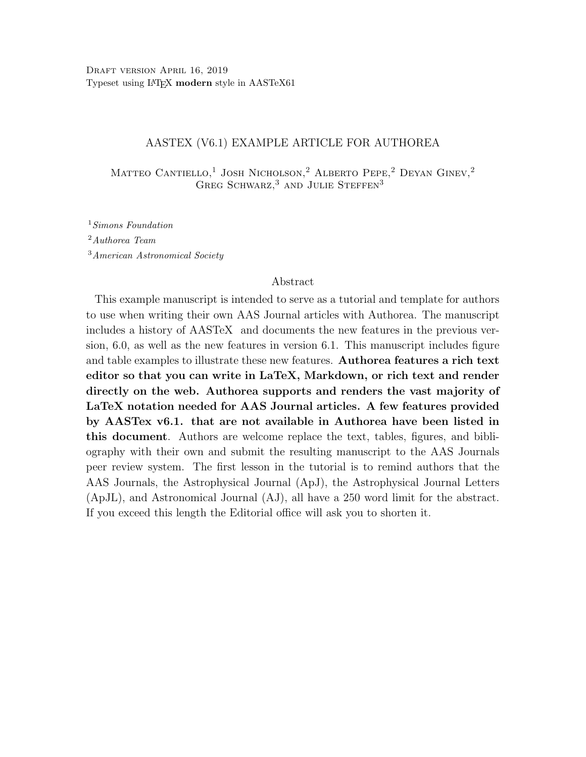## AASTEX (V6.1) EXAMPLE ARTICLE FOR AUTHOREA

MATTEO CANTIELLO,<sup>1</sup> JOSH NICHOLSON,<sup>2</sup> ALBERTO PEPE,<sup>2</sup> DEYAN GINEV,<sup>2</sup> GREG SCHWARZ,  $3$  AND JULIE STEFFEN<sup>3</sup>

<sup>1</sup>Simons Foundation <sup>2</sup>Authorea Team <sup>3</sup>American Astronomical Society

#### Abstract

This example manuscript is intended to serve as a tutorial and template for authors to use when writing their own AAS Journal articles with Authorea. The manuscript includes a history of AASTeX and documents the new features in the previous version, 6.0, as well as the new features in version 6.1. This manuscript includes figure and table examples to illustrate these new features. Authorea features a rich text editor so that you can write in LaTeX, Markdown, or rich text and render directly on the web. Authorea supports and renders the vast majority of LaTeX notation needed for AAS Journal articles. A few features provided by AASTex v6.1. that are not available in Authorea have been listed in this document. Authors are welcome replace the text, tables, figures, and bibliography with their own and submit the resulting manuscript to the AAS Journals peer review system. The first lesson in the tutorial is to remind authors that the AAS Journals, the Astrophysical Journal (ApJ), the Astrophysical Journal Letters (ApJL), and Astronomical Journal (AJ), all have a 250 word limit for the abstract. If you exceed this length the Editorial office will ask you to shorten it.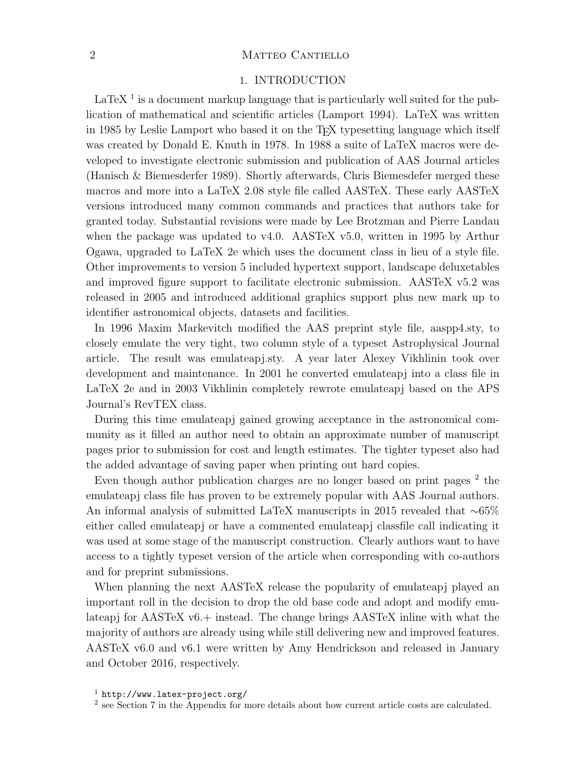## 2 MATTEO CANTIELLO

## 1. INTRODUCTION

 $LaTeX<sup>1</sup>$  $LaTeX<sup>1</sup>$  $LaTeX<sup>1</sup>$  is a document markup language that is particularly well suited for the publication of mathematical and scientific articles [\(Lamport 1994\)](#page-12-0). LaTeX was written in 1985 by Leslie Lamport who based it on the TFX typesetting language which itself was created by Donald E. Knuth in 1978. In 1988 a suite of LaTeX macros were developed to investigate electronic submission and publication of AAS Journal articles [\(Hanisch & Biemesderfer 1989\)](#page-12-1). Shortly afterwards, Chris Biemesdefer merged these macros and more into a LaTeX 2.08 style file called AASTeX. These early AASTeX versions introduced many common commands and practices that authors take for granted today. Substantial revisions were made by Lee Brotzman and Pierre Landau when the package was updated to v4.0. AASTeX v5.0, written in 1995 by Arthur Ogawa, upgraded to LaTeX 2e which uses the document class in lieu of a style file. Other improvements to version 5 included hypertext support, landscape deluxetables and improved figure support to facilitate electronic submission. AASTeX v5.2 was released in 2005 and introduced additional graphics support plus new mark up to identifier astronomical objects, datasets and facilities.

In 1996 Maxim Markevitch modified the AAS preprint style file, aaspp4.sty, to closely emulate the very tight, two column style of a typeset Astrophysical Journal article. The result was emulateapj.sty. A year later Alexey Vikhlinin took over development and maintenance. In 2001 he converted emulateapj into a class file in LaTeX 2e and in 2003 Vikhlinin completely rewrote emulateapj based on the APS Journal's RevTEX class.

During this time emulateapj gained growing acceptance in the astronomical community as it filled an author need to obtain an approximate number of manuscript pages prior to submission for cost and length estimates. The tighter typeset also had the added advantage of saving paper when printing out hard copies.

Even though author publication charges are no longer based on print pages  $^2$  $^2$  the emulateapj class file has proven to be extremely popular with AAS Journal authors. An informal analysis of submitted LaTeX manuscripts in 2015 revealed that ∼65% either called emulateapj or have a commented emulateapj classfile call indicating it was used at some stage of the manuscript construction. Clearly authors want to have access to a tightly typeset version of the article when corresponding with co-authors and for preprint submissions.

When planning the next AASTeX release the popularity of emulateapj played an important roll in the decision to drop the old base code and adopt and modify emulateapj for AASTeX v6.+ instead. The change brings AASTeX inline with what the majority of authors are already using while still delivering new and improved features. AASTeX v6.0 and v6.1 were written by Amy Hendrickson and released in January and October 2016, respectively.

<span id="page-1-0"></span> $1$  <http://www.latex-project.org/>

<span id="page-1-1"></span><sup>&</sup>lt;sup>2</sup> see Section [7](#page-8-0) in the Appendix for more details about how current article costs are calculated.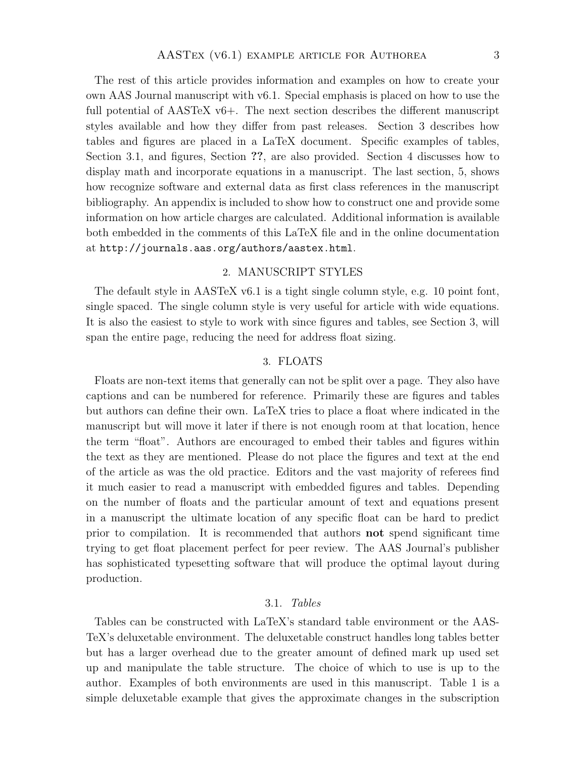The rest of this article provides information and examples on how to create your own AAS Journal manuscript with v6.1. Special emphasis is placed on how to use the full potential of AASTeX v6+. The next section describes the different manuscript styles available and how they differ from past releases. Section [3](#page-2-0) describes how tables and figures are placed in a LaTeX document. Specific examples of tables, Section [3.1,](#page-2-1) and figures, Section ??, are also provided. Section [4](#page-5-0) discusses how to display math and incorporate equations in a manuscript. The last section, [5,](#page-6-0) shows how recognize software and external data as first class references in the manuscript bibliography. An appendix is included to show how to construct one and provide some information on how article charges are calculated. Additional information is available both embedded in the comments of this LaTeX file and in the online documentation at <http://journals.aas.org/authors/aastex.html>.

### 2. MANUSCRIPT STYLES

The default style in AASTeX v6.1 is a tight single column style, e.g. 10 point font, single spaced. The single column style is very useful for article with wide equations. It is also the easiest to style to work with since figures and tables, see Section [3,](#page-2-0) will span the entire page, reducing the need for address float sizing.

#### 3. FLOATS

<span id="page-2-0"></span>Floats are non-text items that generally can not be split over a page. They also have captions and can be numbered for reference. Primarily these are figures and tables but authors can define their own. LaTeX tries to place a float where indicated in the manuscript but will move it later if there is not enough room at that location, hence the term "float". Authors are encouraged to embed their tables and figures within the text as they are mentioned. Please do not place the figures and text at the end of the article as was the old practice. Editors and the vast majority of referees find it much easier to read a manuscript with embedded figures and tables. Depending on the number of floats and the particular amount of text and equations present in a manuscript the ultimate location of any specific float can be hard to predict prior to compilation. It is recommended that authors not spend significant time trying to get float placement perfect for peer review. The AAS Journal's publisher has sophisticated typesetting software that will produce the optimal layout during production.

#### 3.1. Tables

<span id="page-2-1"></span>Tables can be constructed with LaTeX's standard table environment or the AAS-TeX's deluxetable environment. The deluxetable construct handles long tables better but has a larger overhead due to the greater amount of defined mark up used set up and manipulate the table structure. The choice of which to use is up to the author. Examples of both environments are used in this manuscript. Table [1](#page-3-0) is a simple deluxetable example that gives the approximate changes in the subscription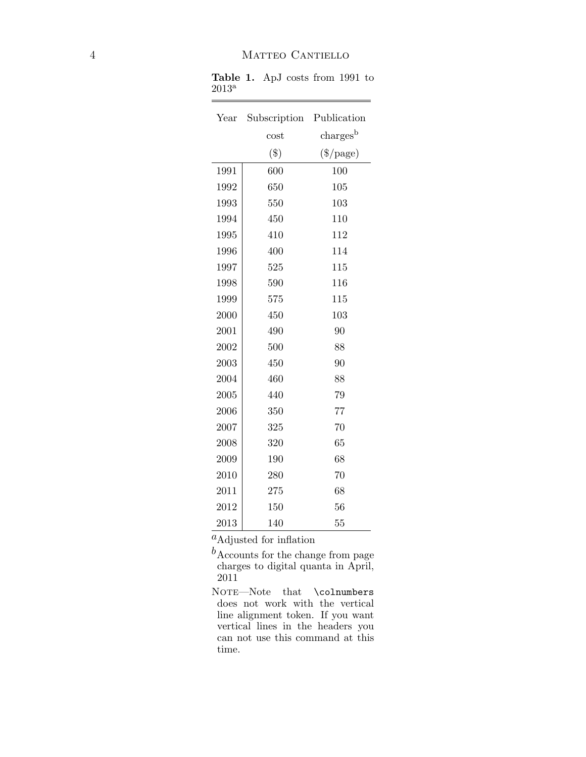| Year | Subscription | Publication                     |
|------|--------------|---------------------------------|
|      | cost         | $\mathrm{charges}^{\mathrm{b}}$ |
|      | $(\$)$       | $(\$$ /page)                    |
| 1991 | 600          | 100                             |
| 1992 | 650          | 105                             |
| 1993 | 550          | 103                             |
| 1994 | 450          | 110                             |
| 1995 | 410          | 112                             |
| 1996 | 400          | 114                             |
| 1997 | 525          | 115                             |
| 1998 | 590          | 116                             |
| 1999 | 575          | 115                             |
| 2000 | 450          | 103                             |
| 2001 | 490          | 90                              |
| 2002 | 500          | 88                              |
| 2003 | 450          | 90                              |
| 2004 | 460          | 88                              |
| 2005 | 440          | 79                              |
| 2006 | 350          | 77                              |
| 2007 | 325          | 70                              |
| 2008 | 320          | 65                              |
| 2009 | 190          | 68                              |
| 2010 | 280          | 70                              |
| 2011 | 275          | 68                              |
| 2012 | 150          | 56                              |
| 2013 | 140          | 55                              |

<span id="page-3-0"></span>Table 1. ApJ costs from 1991 to  $2013^{\rm a}$ 

 $=$ 

 ${}^a\mathrm{Adjusted}$  for inflation

 $\boldsymbol{b}_{\text{Accounts}}$  for the change from page charges to digital quanta in April, 2011

NOTE-Note that \colnumbers does not work with the vertical line alignment token. If you want vertical lines in the headers you can not use this command at this time.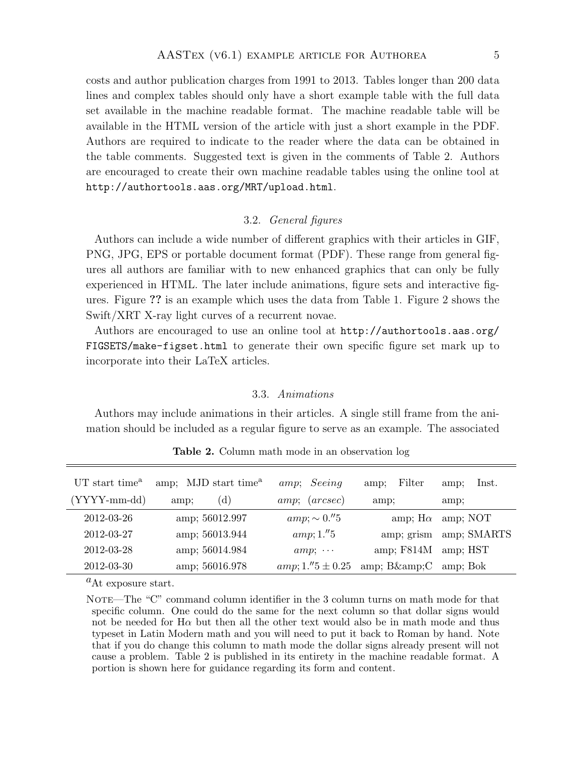costs and author publication charges from 1991 to 2013. Tables longer than 200 data lines and complex tables should only have a short example table with the full data set available in the machine readable format. The machine readable table will be available in the HTML version of the article with just a short example in the PDF. Authors are required to indicate to the reader where the data can be obtained in the table comments. Suggested text is given in the comments of Table [2.](#page-4-0) Authors are encouraged to create their own machine readable tables using the online tool at <http://authortools.aas.org/MRT/upload.html>.

## 3.2. General figures

Authors can include a wide number of different graphics with their articles in GIF, PNG, JPG, EPS or portable document format (PDF). These range from general figures all authors are familiar with to new enhanced graphics that can only be fully experienced in HTML. The later include animations, figure sets and interactive figures. Figure ?? is an example which uses the data from Table [1.](#page-3-0) Figure [2](#page-6-1) shows the Swift/XRT X-ray light curves of a recurrent novae.

Authors are encouraged to use an online tool at [http://authortools.aas.org/](http://authortools.aas.org/FIGSETS/make-figset.html) [FIGSETS/make-figset.html](http://authortools.aas.org/FIGSETS/make-figset.html) to generate their own specific figure set mark up to incorporate into their LaTeX articles.

## 3.3. Animations

Authors may include animations in their articles. A single still frame from the animation should be included as a regular figure to serve as an example. The associated

| UT start time <sup>a</sup> | amp; MJD start time <sup>a</sup> | amp; Seeing                    | Filter<br>amp;  | lnst.<br>amp: |
|----------------------------|----------------------------------|--------------------------------|-----------------|---------------|
| $(YYYY-mm-dd)$             | (d)<br>amp;                      | (arcsec)<br>amp;;              | amp;            | amp;          |
| 2012-03-26                 | amp; 56012.997                   | $amp; \sim 0.^{\prime\prime}5$ | amp; $H\alpha$  | amp; NOT      |
| 2012-03-27                 | amp; 56013.944                   | amp;; 1."5                     | amp; grism      | amp; SMARTS   |
| 2012-03-28                 | amp; 56014.984                   | $amp; \cdots$                  | amp; $F814M$    | amp; HST      |
| 2012-03-30                 | amp; 56016.978                   | $amp;; 1."5 \pm 0.25$          | amp; $B\&amp;C$ | amp: Bok      |

<span id="page-4-0"></span>Table 2. Column math mode in an observation log

 ${}^{\text{a}}$ At exposure start.

NOTE—The "C" command column identifier in the 3 column turns on math mode for that specific column. One could do the same for the next column so that dollar signs would not be needed for  $H\alpha$  but then all the other text would also be in math mode and thus typeset in Latin Modern math and you will need to put it back to Roman by hand. Note that if you do change this column to math mode the dollar signs already present will not cause a problem. Table [2](#page-4-0) is published in its entirety in the machine readable format. A portion is shown here for guidance regarding its form and content.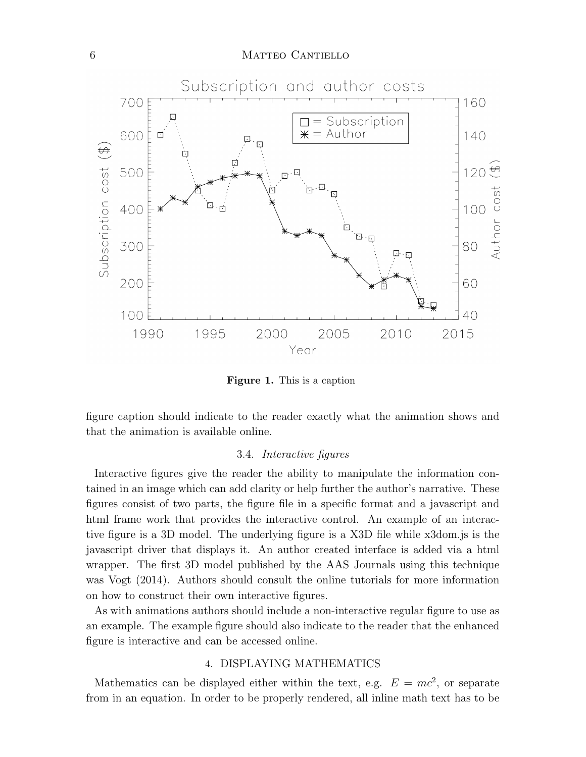## 6 MATTEO CANTIELLO



Figure 1. This is a caption

figure caption should indicate to the reader exactly what the animation shows and that the animation is available online.

#### 3.4. Interactive figures

Interactive figures give the reader the ability to manipulate the information contained in an image which can add clarity or help further the author's narrative. These figures consist of two parts, the figure file in a specific format and a javascript and html frame work that provides the interactive control. An example of an interactive figure is a 3D model. The underlying figure is a X3D file while x3dom.js is the javascript driver that displays it. An author created interface is added via a html wrapper. The first 3D model published by the AAS Journals using this technique was [Vogt](#page-12-2) [\(2014\)](#page-12-2). Authors should consult the online tutorials for more information on how to construct their own interactive figures.

As with animations authors should include a non-interactive regular figure to use as an example. The example figure should also indicate to the reader that the enhanced figure is interactive and can be accessed online.

### 4. DISPLAYING MATHEMATICS

<span id="page-5-0"></span>Mathematics can be displayed either within the text, e.g.  $E = mc^2$ , or separate from in an equation. In order to be properly rendered, all inline math text has to be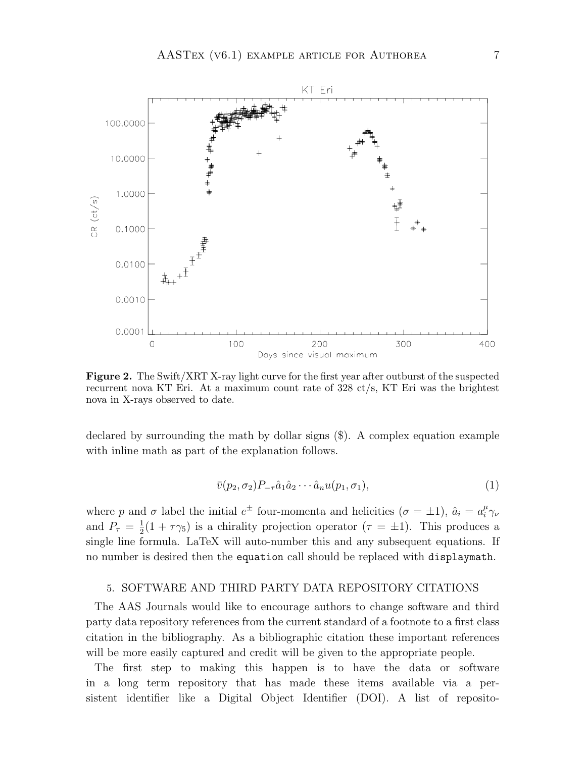

<span id="page-6-1"></span>Figure 2. The Swift/XRT X-ray light curve for the first year after outburst of the suspected recurrent nova KT Eri. At a maximum count rate of 328 ct/s, KT Eri was the brightest nova in X-rays observed to date.

declared by surrounding the math by dollar signs (\$). A complex equation example with inline math as part of the explanation follows.

$$
\bar{v}(p_2, \sigma_2) P_{-\tau} \hat{a}_1 \hat{a}_2 \cdots \hat{a}_n u(p_1, \sigma_1), \qquad (1)
$$

where p and  $\sigma$  label the initial  $e^{\pm}$  four-momenta and helicities  $(\sigma = \pm 1)$ ,  $\hat{a}_i = a_i^{\mu}$  $_i^{\mu} \gamma_{\nu}$ and  $P_{\tau} = \frac{1}{2}$  $\frac{1}{2}(1+\tau\gamma_5)$  is a chirality projection operator  $(\tau = \pm 1)$ . This produces a single line formula. LaTeX will auto-number this and any subsequent equations. If no number is desired then the equation call should be replaced with displaymath.

#### <span id="page-6-0"></span>5. SOFTWARE AND THIRD PARTY DATA REPOSITORY CITATIONS

The AAS Journals would like to encourage authors to change software and third party data repository references from the current standard of a footnote to a first class citation in the bibliography. As a bibliographic citation these important references will be more easily captured and credit will be given to the appropriate people.

The first step to making this happen is to have the data or software in a long term repository that has made these items available via a persistent identifier like a Digital Object Identifier (DOI). A list of reposito-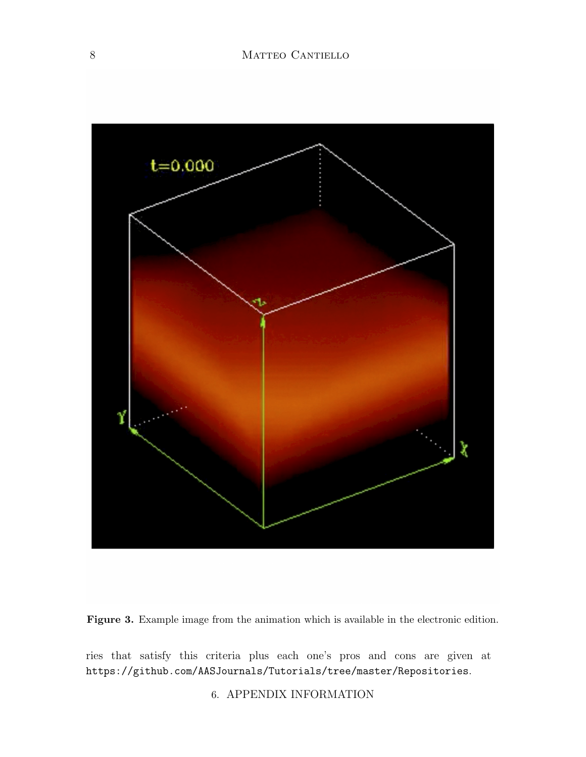

Figure 3. Example image from the animation which is available in the electronic edition.

ries that satisfy this criteria plus each one's pros and cons are given at <https://github.com/AASJournals/Tutorials/tree/master/Repositories>.

6. APPENDIX INFORMATION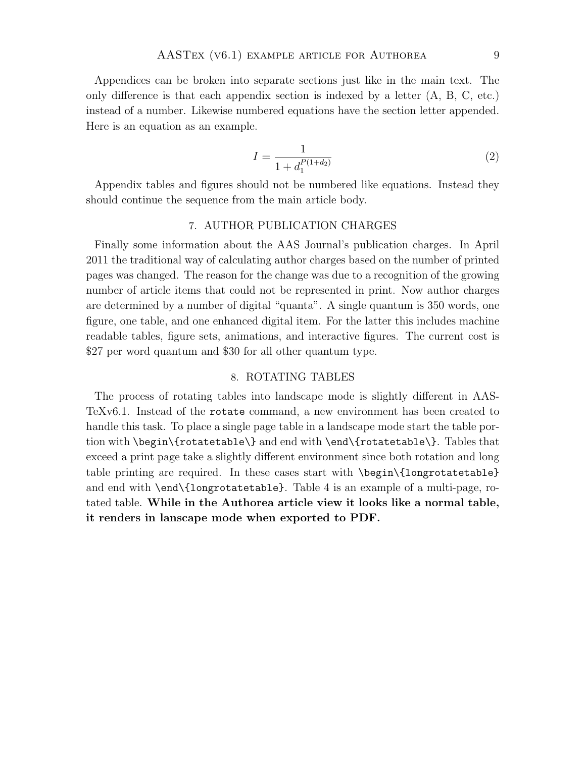Appendices can be broken into separate sections just like in the main text. The only difference is that each appendix section is indexed by a letter (A, B, C, etc.) instead of a number. Likewise numbered equations have the section letter appended. Here is an equation as an example.

$$
I = \frac{1}{1 + d_1^{P(1 + d_2)}}\tag{2}
$$

Appendix tables and figures should not be numbered like equations. Instead they should continue the sequence from the main article body.

### 7. AUTHOR PUBLICATION CHARGES

<span id="page-8-0"></span>Finally some information about the AAS Journal's publication charges. In April 2011 the traditional way of calculating author charges based on the number of printed pages was changed. The reason for the change was due to a recognition of the growing number of article items that could not be represented in print. Now author charges are determined by a number of digital "quanta". A single quantum is 350 words, one figure, one table, and one enhanced digital item. For the latter this includes machine readable tables, figure sets, animations, and interactive figures. The current cost is \$27 per word quantum and \$30 for all other quantum type.

#### 8. ROTATING TABLES

The process of rotating tables into landscape mode is slightly different in AAS-TeXv6.1. Instead of the rotate command, a new environment has been created to handle this task. To place a single page table in a landscape mode start the table portion with \begin\{rotatetable\} and end with \end\{rotatetable\}. Tables that exceed a print page take a slightly different environment since both rotation and long table printing are required. In these cases start with \begin\{longrotatetable} and end with \end\{longrotatetable}. Table [4](#page-9-0) is an example of a multi-page, rotated table. While in the Authorea article view it looks like a normal table, it renders in lanscape mode when exported to PDF.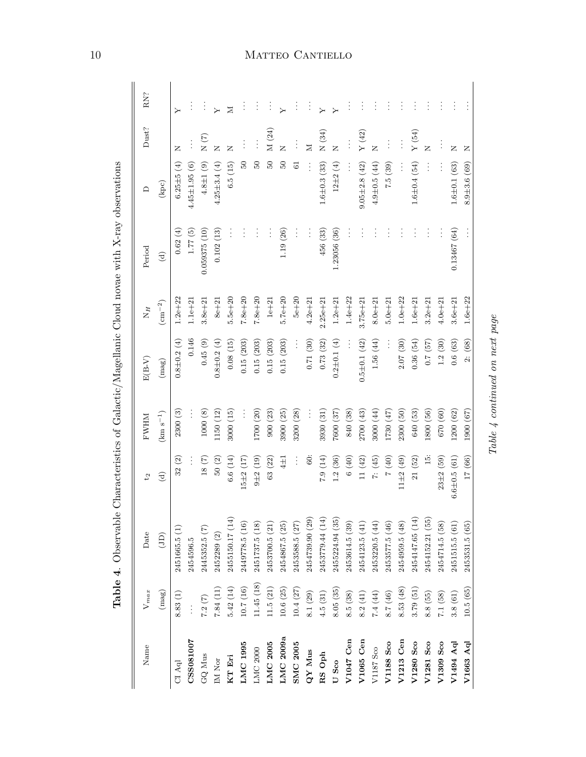| Name              | $V_{max}$      | Date              | $\mathfrak{c}_4$       | <b>NHWE</b>   | $E(B-V)$           | $N_H$           | Period        | $\Box$              | $Dust?$  | RN?                      |
|-------------------|----------------|-------------------|------------------------|---------------|--------------------|-----------------|---------------|---------------------|----------|--------------------------|
|                   | (mag)          | $\left( 1\right)$ | $\widehat{\mathbf{c}}$ | $(km s^{-1})$ | (mag)              | $\rm (cm^{-2})$ | $\widehat{c}$ | (kpc)               |          |                          |
| $\rm{CI}$ Aql     | 8.83(1)        | 2451665.5 (1)     | 32(2)                  | 2300(3)       | $0.8 \pm 0.2(4)$   | $1.2e + 22$     | 0.62(4)       | $6.25 \pm 5$ (4)    | z        | ≻                        |
| CSS081007         | $\ddot{\cdot}$ | 2454596.5         | $\vdots$               |               | 0.146              | $1.1e + 21$     | 1.77(5)       | $4.45 \pm 1.95$ (6) | $\vdots$ |                          |
| $\mbox{GQ}$ Mus   | $7.2~(7)$      | 2445352.5 (7)     | 18(7)                  | 1000(8)       | 0.45(9)            | $3.8e + 21$     | 0.059375(10)  | $4.8 \pm 1$ (9)     | N(7)     | $\vdots$                 |
| $\rm IM$ Nor      | 7.84(11)       | 2452289 (2)       | 50(2)                  | 1150 (12)     | $0.8 + 0.2(4)$     | $8e + 21$       | 0.102(13)     | $4.25 \pm 3.4$ (4)  | Z        | $\overline{Y}$           |
| KT Eri            | 5.42(14)       | 2455150.17 (14)   | 6.6(14)                | 3000(15)      | 0.08(15)           | $5.5e + 20$     | $\vdots$      | 6.5(15)             | Z        | Σ                        |
| LMC 1995          | 10.7(16)       | 2449778.5 (16)    | $15\pm 2(17)$          |               | 0.15(203)          | $7.8e + 20$     | $\vdots$      | $\overline{50}$     |          | ÷                        |
| ${\rm LMC}$ 2000  | 11.45 (18)     | 2451737.5 (18)    | $9 + 2(19)$            | 1700 (20)     | 0.15(203)          | $7.8e + 20$     | $\vdots$      | $50\,$              | $\vdots$ | $\vdots$                 |
| LMC 2005          | $11.5~(21)$    | 2453700.5 (21)    | 63 (22)                | 900(23)       | 0.15(203)          | $1e+21$         |               | $\overline{50}$     | M (24)   | $\vdots$                 |
| LMC 2009a         | 10.6(25)       | 2454867.5 (25)    | $4\pm1$                | 3900 (25)     | 0.15(203)          | $5.7e + 20$     | 1.19(26)      | $\overline{50}$     | Z        |                          |
| <b>SMC 2005</b>   | 10.4(27)       | 2453588.5 (27)    | $\vdots$               | 3200(28)      | $\vdots$           | $5e+20$         |               | 5                   |          | $\vdots$                 |
| QY Mus            | 8.1(29)        | 2454739.90 (29)   | $\dot{\mathbb{S}}$     |               | 0.71(30)           | $4.2e + 21$     | $\vdots$      |                     | Σ        | $\vdots$                 |
| $\mathbf{RS}$ Oph | 4.5(31)        | 2453779.44 (14)   | 7.9(14)                | 3930 (31)     | 0.73(32)           | $2.25e + 21$    | 456 (33)      | $1.6 \pm 0.3$ (33)  | N(34)    | $\overline{\phantom{0}}$ |
| U Sco             | 8.05(35)       | 2455224.94 (35)   | 1.2(36)                | 7600 (37)     | $0.2 \pm 0.1$ (4)  | $1.2e + 21$     | 1.23056(36)   | $12\pm2(4)$         | Z        |                          |
| V1047 Cen         | 8.5(38)        | 2453614.5 (39)    | 6 (40)                 | 840 (38)      |                    | $1.4e + 22$     |               |                     |          |                          |
| $V1065$ Cen       | 8.2(41)        | 2454123.5 (41)    | 11(42)                 | 2700 (43)     | $0.5 \pm 0.1$ (42) | $3.75e + 21$    | $\vdots$      | $9.05 \pm 2.8$ (42) | Y(42)    | ÷                        |
| V1187 Sco         | 7.4(44)        | 2453220.5(44)     | 7: (45)                | 3000(44)      | 1.56 (44)          | $8.0e + 21$     |               | $4.9 \pm 0.5(44)$   | Z        |                          |
| V1188 Sco         | 8.7 $(46)$     | 2453577.5 (46)    | (0) 2                  | 1730(47)      | $\vdots$           | $5.0e + 21$     |               | 7.5(39)             |          |                          |
| V1213 Cen         | 8.53(48)       | 2454959.5 (48)    | $11\pm2(49)$           | 2300 (50)     | 2.07(30)           | $1.0e + 22$     |               |                     | $\vdots$ |                          |
| V1280 Sco         | 3.79(51)       | 2454147.65 (14)   | 21(52)                 | 640 (53)      | 0.36(54)           | $1.6e + 21$     |               | $1.6 \pm 0.4$ (54)  | Y(54)    |                          |
| V1281 Sco         | 8.8(55)        | 2454152.21 (55)   | $\frac{15}{10}$        | 1800 (56)     | 0.7(57)            | $3.2e + 21$     | $\vdots$      | $\vdots$            | Z        |                          |
| V1309 Sco         | 7.1(58)        | 2454714.5 (58)    | $23 + 2(59)$           | $(09)$ 0.29   | 1.2(30)            | $4.0e + 21$     |               |                     |          | $\vdots$                 |
| V1494 Aql         | 3.8(61)        | 2451515.5 (61)    | $6.6 \pm 0.5$ (61)     | 1200(62)      | 0.6(63)            | $3.6e + 21$     | 0.13467(64)   | $1.6 \pm 0.1$ (63)  | z        | $\vdots$                 |
| V1663 Aql         | 10.5(65)       | 2453531.5 (65)    | 17 (66)                | 1900 (67)     | 2: (68)            | $1.6e + 22$     |               | $8.9 \pm 3.6(69)$   | Z        |                          |

 $Table\ \n4\ continued\ on\ next\ page$ 

 $Table\ 4\ continued\ on\ next\ page$ 

<span id="page-9-0"></span>Table 4. Observable Characteristics of Galactic/Magellanic Cloud novae with X-ray observations Table 4. Observable Characteristics of Galactic/Magellanic Cloud novae with X-ray observations

# 10 MATTEO CANTIELLO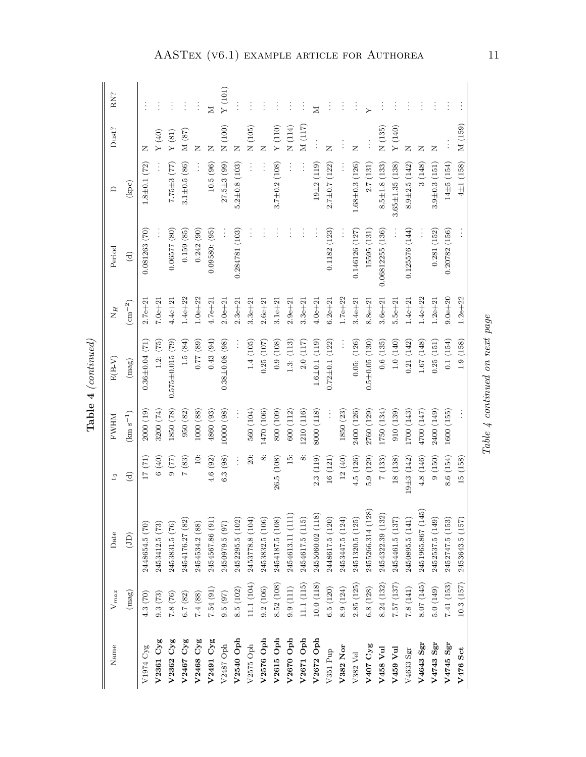| Name             | $V_{max}$  | Date              | 5 <sup>2</sup>         | <b>NHWE</b>               | $E(B-V)$               | $N_H$           | Period          | $\Box$                | Dust?                     | RN?      |
|------------------|------------|-------------------|------------------------|---------------------------|------------------------|-----------------|-----------------|-----------------------|---------------------------|----------|
|                  | (mag)      | (D)               | $\widehat{\mathbf{d}}$ | $(km s^{-1})$             | $(\mathrm{mag})$       | $\rm (cm^{-2})$ | $\widehat{c}$   | (kpc)                 |                           |          |
| V1974 Cyg        | 4.3(70)    | 2448654.5 (70)    | 17(71)                 | 2000(19)                  | $0.36 \pm 0.04$ (71    | $2.7e + 2.$     | 0.081263(70)    | $1.8 \pm 0.1$ (72)    | z                         |          |
| V2361 Cyg        | 9.3(73)    | 2453412.5 (73)    | (6(40)                 | 3200 (74)                 | 1.2: (75)              | $7.0e + 21$     |                 |                       | (Y(40))                   |          |
| $V2362$ $Cyg$    | 7.8(76)    | 2453831.5 (76)    | $(22)$ 6               | 1850 (78)                 | $0.575 \pm 0.015$ (79) | $4.4e + 21$     | 0.06577(80)     | $7.75 \pm 3(77)$      | $\Upsilon\left(81\right)$ |          |
| V2467 Cyg        | 6.7 $(82)$ | 2454176.27 (82)   | 7(83)                  | 950 (82)                  | 1.5(84)                | $1.4e + 22$     | 0.159(85)       | $3.1 \pm 0.5$ (86)    | M(87)                     | $\vdots$ |
| V2468 Cyg        | $7.4~(88)$ | 2454534.2 (88)    | $\ddot{=}$             | 1000(88)                  | $(68)$ 27.0            | $1.0e + 22$     | 0.242(90)       |                       | Z                         | $\vdots$ |
| V2491 Cyg        | 7.54 (91)  | 2454567.86 (91)   | 4.6(92)                | 4860 (93)                 | 0.43(94)               | $4.7e + 21$     | 0.09580: (95)   | 10.5(96)              | Z                         | $\geq$   |
| V2487 Oph        | 9.5(97)    | 2450979.5 (97)    | 6.3(98)                | 10000 (98)                | $0.38 \pm 0.08$ (98)   | $2.0e + 21$     |                 | $27.5 \pm 3$ (99)     | $\overline{N(100)}$       | Y(101)   |
| V2540 Oph        | 8.5(102)   | 2452295.5 (102)   |                        |                           |                        | $2.3e + 21$     | 0.284781 (103)  | $5.2 \pm 0.8$ (103)   | z                         |          |
| V2575 Oph        | 11.1 (104) | 2453778.8 (104)   | $\ddot{20}$            | 560 (104)                 | 1.4(105)               | $3.3e + 21$     |                 |                       | N(105)                    |          |
| V2576 Oph        | 9.2(106)   | 2453832.5 (106)   | $\dot{\infty}$         | 1470 (106)                | 0.25(107)              | $2.6e + 21$     | $\vdots$        |                       | Z                         |          |
| V2615 Oph        | 8.52 (108) | 2454187.5 (108)   | 26.5(108)              | 800 (109)                 | 0.9(108)               | $3.1e + 21$     | $\vdots$        | $3.7 \pm 0.2$ (108)   | Y(110)                    | $\vdots$ |
| V2670 Oph        | 9.9(111)   | 2454613.11 (111)  | $\ddot{5}$             | 600 (112)                 | 1.3: (113)             | $2.9e + 21$     |                 |                       | N(114)                    | ÷        |
| V2671 Oph        | 11.1(115)  | 2454617.5 (115)   | $\infty$               | (116)                     | 2.0(117)               | $3.3e + 21$     | $\vdots$        |                       | M (117)                   | $\vdots$ |
| V2672 Oph        | 10.0(118)  | 2455060.02 (118)  | 2.3(119)               | 8000 (118)                | $1.6 \pm 0.1$ (119)    | $4.0e + 21$     |                 | $19 + 2(119)$         |                           | $\geq$   |
| V351 $P$ up      | 6.5(120)   | 2448617.5 (120)   | 16 (121)               |                           | $0.72 \pm 0.1$ (122)   | $6.2e + 21$     | 0.1182(123)     | $2.7 \pm 0.7$ (122)   | z                         | $\vdots$ |
| V382 Nor         | 8.9(124)   | 2453447.5 (124)   | 12(40)                 | 1850 (23)                 |                        | $1.7e + 22$     |                 |                       |                           | ÷        |
| V382 Vel         | 2.85(125)  | 2451320.5 (125)   | 4.5 (126)              | 2400 (126)                | 0.05: (126)            | $3.4e + 21$     | 0.146126 (127)  | $1.68 \pm 0.3$ (126)  | z                         | $\vdots$ |
| V407 Cyg         | 6.8(128)   | 2455266.314 (128) | 5.9(129)               | 2760 (129)                | $0.5 \pm 0.05$ (130)   | $8.8e + 21$     | 15595 (131)     | 2.7(131)              |                           |          |
| $V458$ Vul       | 8.24(132)  | 2454322.39 (132)  | 7(133)                 | 1750 (134)                | 0.6(135)               | $3.6e + 21$     | 0.06812255(136) | $8.5 \pm 1.8$ (133)   | N(135)                    | ÷        |
| V459 Vul         | 7.57(137)  | 2454461.5 (137)   | 18 (138)               | 910 (139)                 | 1.0(140)               | $5.5e + 21$     |                 | $3.65 \pm 1.35$ (138) | $\mathbf{Y}$ (140)        |          |
| $\rm V4633\;Sgr$ | 7.8(141)   | 2450895.5 (141)   | $19\pm3(142)$          | 1700 (143)                | 0.21(142)              | $1.4e + 21$     | 0.125576(144)   | $8.9 \pm 2.5$ (142)   | z                         |          |
| $V4643$ Sgr      | 8.07(145)  | 2451965.867 (145) | 4.8 (146)              | $(147)$ 007 <sup>\$</sup> | 1.67 (148)             | $1.4e + 22$     |                 | 3(148)                | z                         | $\vdots$ |
| V4743 Sgr        | 5.0(149)   | 2452537.5 (149)   | 9(150)                 | 2400 (149)                | 0.25(151)              | $1.2e + 21$     | 0.281(152)      | $3.9 \pm 0.3$ (151)   | z                         | ÷        |
| V4745 Sgr        | 7.41(153)  | 2452747.5 (153)   | 8.6(154)               | 1600 (155)                | 0.1(154)               | $9.0e + 20$     | 0.20782(156)    | $14\pm 5(154)$        |                           |          |
| ${\tt V476}$ Sct | 10.3 (157) | 2453643.5 (157)   | 15 (158)               |                           | 1.9 (158)              | $1.2e + 22$     |                 | $4\pm1(158)$          | M (159)                   |          |

 ${\bf Table ~4}~(continued)$ Table 4 (continued)

Table  $4$  continued on next page  $Table\ 4\ continued\ on\ next\ page$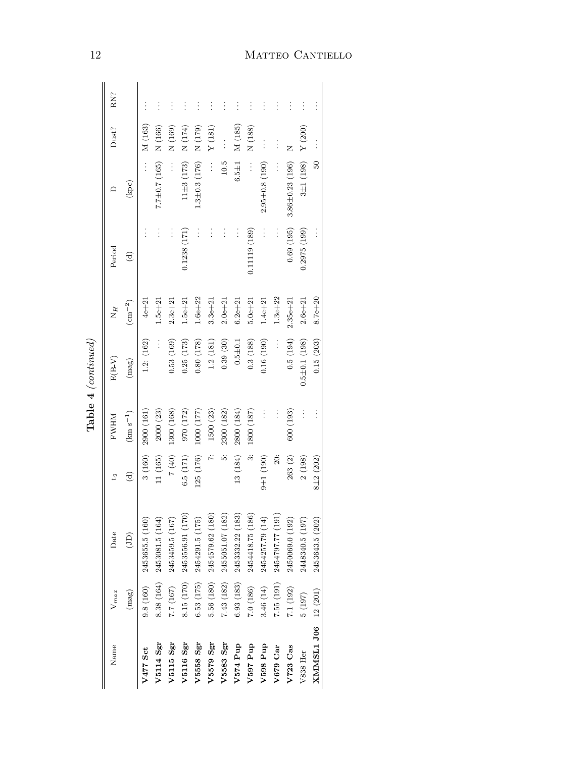|                     |            |                  |                 |                                     | $Table 4$ (continued) |                               |               |                            |                |          |
|---------------------|------------|------------------|-----------------|-------------------------------------|-----------------------|-------------------------------|---------------|----------------------------|----------------|----------|
| Name                | $V_{max}$  | Date             | $\mathcal{E}_d$ | <b>NHWH</b>                         | $E(B-V)$              | $N_H$                         | Period        |                            | Dust?          | RN?      |
|                     | (mag)      | $\widehat{\Xi}$  | $\widehat{c}$   | $\left( \mathrm{km~s}^{-1} \right)$ | $(\mathrm{mag})$      | $\left(\text{cm}^{-2}\right)$ | $\widehat{c}$ | $\left( {\rm kpc} \right)$ |                |          |
| V477 Sct            | 9.8(160)   | 2453655.5 (160)  | 3(160)          | 2900 (161)                          | 1.2: (162)            | $4e + 21$                     |               | $\vdots$                   | M (163)        |          |
| V5114 Sgr           | 8.38 (164) | 2453081.5 (164)  | 11 (165)        | 2000(23)                            | $\vdots$              | $1.5e + 21$                   | $\vdots$      | $7.7 \pm 0.7$ (165)        | N(166)         |          |
| V5115 Sgr           | 7.7 (167)  | 2453459.5 (167)  | $7(40)$         | 1300 (168)                          | 0.53(169)             | $2.3e + 21$                   | $\vdots$      | $\vdots$                   | N(169)         |          |
| V5116 Sgr           | 8.15 (170) | 2453556.91 (170) | 6.5(171)        | 970 (172)                           | 0.25(173)             | $1.5e + 21$                   | 0.1238 (171)  | $11\pm3(173)$              | N(174)         |          |
| <b>V5558 Sgr</b>    | 6.53(175)  | 2454291.5 (175)  | 125 (176)       | 1000 (177)                          | 0.80(178)             | $1.6e + 22$                   | $\vdots$      | $1.3 \pm 0.3$ (176)        | N (179)        | $\vdots$ |
| V5579 Sgr           | 5.56 (180) | 2454579.62 (180) | Ż.              | 1500 (23)                           | 1.2(181)              | $3.3e + 21$                   | $\vdots$      | $\vdots$                   | Y(181)         | $\vdots$ |
| V5583 Sgr           | 7.43 (182) | 2455051.07 (182) | is.             | 2300 (182)                          | 0.39(30)              | $2.0e + 21$                   | $\vdots$      | 10.5                       | $\ddot{\cdot}$ | $\vdots$ |
| V574 Pup            | 6.93(183)  | 2453332.22 (183) | 13 (184)        | 2800 (184)                          | $0.5 + 0.1$           | $6.2e + 21$                   | $\vdots$      | $6.5 \pm 1$                | M (185)        | $\vdots$ |
| V597 Pup            | 7.0(186)   | 2454418.75 (186) | $\ddot{\circ}$  | 1800 (187)                          | 0.3(188)              | $5.0e + 21$                   | 0.11119 (189) | $\vdots$                   | N(188)         | $\vdots$ |
| V598 Pup            | 3.46(14)   | 2454257.79 (14)  | $9 \pm 1 (190)$ | $\vdots$                            | 0.16(190)             | $1.4e + 21$                   | $\vdots$      | $2.95 \pm 0.8$ (190)       |                |          |
| V679 Car            | 7.55(191)  | 2454797.77 (191) | $\ddot{20}$     | $\vdots$                            | $\vdots$              | $1.3e + 22$                   | $\vdots$      | $\vdots$                   |                | $\vdots$ |
| V723 Cas            | 7.1(192)   | 2450069.0 (192)  | 263 (2)         | 600 (193)                           | 0.5(194)              | $2.35e + 21$                  | 0.69(195)     | $3.86 \pm 0.23$ (196)      | Z              | $\vdots$ |
| V838 Her            | 5(197)     | 2448340.5 (197)  | 2(198)          | $\vdots$                            | $0.5\pm0.1(198)$      | $2.6e + 21$                   | 0.2975(199)   | $3\pm1(198)$               | Y(200)         | $\vdots$ |
| XMMSL1 J06 12 (201) |            | 2453643.5 (202)  | $8 + 2(202)$    | $\vdots$                            | 0.15(203)             | $8.7e + 20$                   |               | $\overline{50}$            | $\vdots$       |          |
|                     |            |                  |                 |                                     |                       |                               |               |                            |                |          |

| ╮<br>š                  |
|-------------------------|
| 41                      |
| ر                       |
| Í                       |
| વે<br>ન<br>۶<br>η,<br>ľ |
|                         |

## 12 MATTEO CANTIELLO